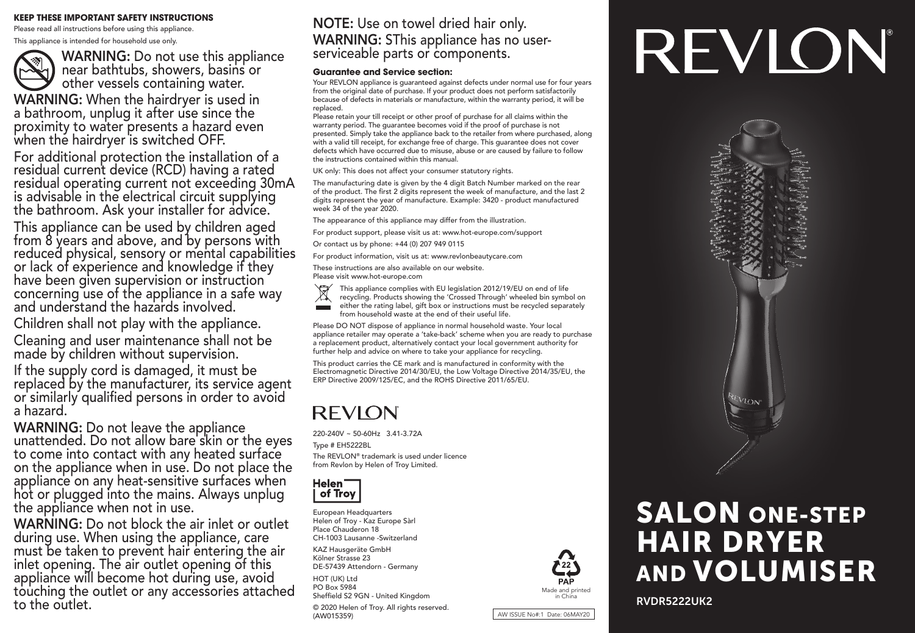#### **KEEP THESE IMPORTANT SAFETY INSTRUCTIONS**

Please read all instructions before using this appliance. This appliance is intended for household use only.

WARNING: Do not use this appliance near bathtubs, showers, basins or **J** other vessels containing water. WARNING: When the hairdryer is used in a bathroom, unplug it after use since the

proximity to water presents a hazard even when the hairdryer is switched OFF. For additional protection the installation of a

residual current device (RCD) having a rated residual operating current not exceeding 30mA is advisable in the electrical circuit supplying the bathroom. Ask your installer for advice.

This appliance can be used by children aged from 8 years and above, and by persons with reduced physical, sensory or mental capabilities or lack of experience and knowledge if they have been given supervision or instruction concerning use of the appliance in a safe way and understand the hazards involved.

Children shall not play with the appliance.

Cleaning and user maintenance shall not be made by children without supervision.

If the supply cord is damaged, it must be replaced by the manufacturer, its service agent or similarly qualified persons in order to avoid a hazard.

WARNING: Do not leave the appliance unattended. Do not allow bare skin or the eyes to come into contact with any heated surface on the appliance when in use. Do not place the appliance on any heat-sensitive surfaces when hot or plugged into the mains. Always unplug the appliance when not in use.

WARNING: Do not block the air inlet or outlet during use. When using the appliance, care must be taken to prevent hair entering the air inlet opening. The air outlet opening of this appliance will become hot during use, avoid touching the outlet or any accessories attached to the outlet.

## NOTE: Use on towel dried hair only. WARNING: SThis appliance has no user-<br>serviceable parts or components.

#### **Guarantee and Service section:**

Your REVLON appliance is guaranteed against defects under normal use for four years from the original date of purchase. If your product does not perform satisfactorily because of defects in materials or manufacture, within the warranty period, it will be replaced.

Please retain your till receipt or other proof of purchase for all claims within the warranty period. The quarantee becomes void if the proof of purchase is not presented. Simply take the appliance back to the retailer from where purchased, along with a valid till receipt, for exchange free of charge. This guarantee does not cover defects which have occurred due to misuse, abuse or are caused by failure to follow the instructions contained within this manual.

UK only: This does not affect your consumer statutory rights.

The manufacturing date is given by the 4 digit Batch Number marked on the rear of the product. The first 2 digits represent the week of manufacture, and the last 2 digits represent the year of manufacture. Example: 3420 - product manufactured week 34 of the year 2020.

The appearance of this appliance may differ from the illustration.

For product support, please visit us at: www.hot-europe.com/support

Or contact us by phone: +44 (0) 207 949 0115

For product information, visit us at: www.revlonbeautycare.com

These instructions are also available on our website. Please visit www.hot-europe.com

This appliance complies with EU legislation 2012/19/EU on end of life

- recycling. Products showing the 'Crossed Through' wheeled bin symbol on either the rating label, gift box or instructions must be recycled separately
- from household waste at the end of their useful life.

Please DO NOT dispose of appliance in normal household waste. Your local appliance retailer may operate a 'take-back' scheme when you are ready to purchase a replacement product, alternatively contact your local government authority for further help and advice on where to take your appliance for recycling.

This product carries the CE mark and is manufactured in conformity with the Electromagnetic Directive 2014/30/EU, the Low Voltage Directive 2014/35/EU, the ERP Directive 2009/125/EC, and the ROHS Directive 2011/65/EU.

## **REVION**

220-240V ~ 50-60Hz 3.41-3.72A Type # EH5222BL The REVLON® trademark is used under licence from Revlon by Helen of Troy Limited.



European Headquarters Helen of Troy - Kaz Europe Sàrl Place Chauderon 18 CH-1003 Lausanne -Switzerland

KAZ Hausgeräte GmbH Kölner Strasse 23 DE-57439 Attendorn - Germany

HOT (UK) Ltd PO Box 5984 Sheffield S2 9GN - United Kingdom

© 2020 Helen of Troy. All rights reserved. (AW015359)



AW ISSUE No#:1 Date: 06MAY20

# REVION





RVDR5222UK2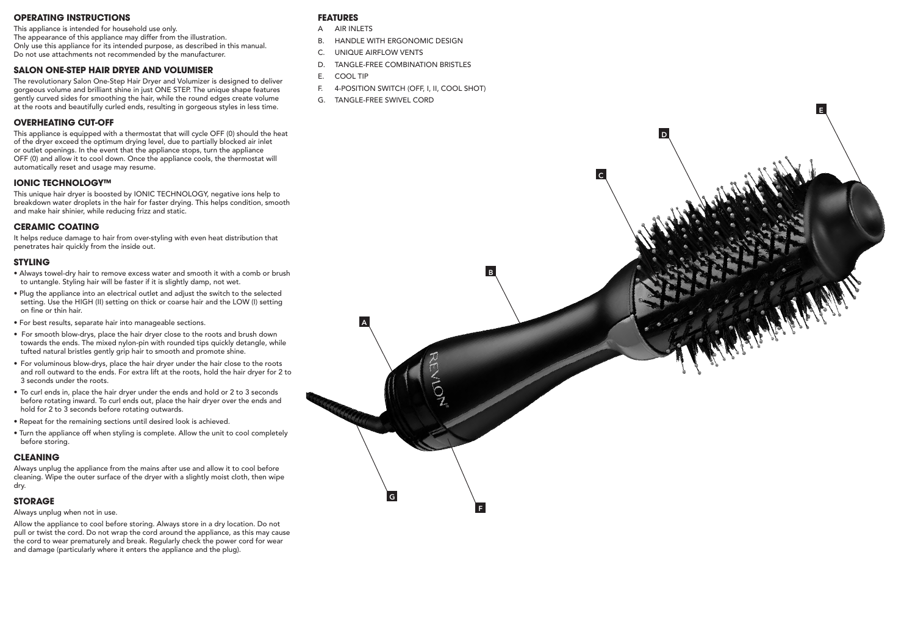#### **OPERATING INSTRUCTIONS**

This appliance is intended for household use only. The appearance of this appliance may differ from the illustration. Only use this appliance for its intended purpose, as described in this manual. Do not use attachments not recommended by the manufacturer.

#### **SALON ONE-STEP HAIR DRYER AND VOLUMISER**

The revolutionary Salon One-Step Hair Dryer and Volumizer is designed to deliver gorgeous volume and brilliant shine in just ONE STEP. The unique shape features gently curved sides for smoothing the hair, while the round edges create volume at the roots and beautifully curled ends, resulting in gorgeous styles in less time.

#### **OVERHEATING CUT-OFF**

This appliance is equipped with a thermostat that will cycle OFF (0) should the heat of the dryer exceed the optimum drying level, due to partially blocked air inlet or outlet openings. In the event that the appliance stops, turn the appliance OFF (0) and allow it to cool down. Once the appliance cools, the thermostat will automatically reset and usage may resume.

#### **IONIC TECHNOLOGY™**

This unique hair dryer is boosted by IONIC TECHNOLOGY, negative ions help to breakdown water droplets in the hair for faster drying. This helps condition, smooth and make hair shinier, while reducing frizz and static.

#### **CERAMIC COATING**

It helps reduce damage to hair from over-styling with even heat distribution that penetrates hair quickly from the inside out.

#### **STYLING**

- Always towel-dry hair to remove excess water and smooth it with a comb or brush to untangle. Styling hair will be faster if it is slightly damp, not wet.
- Plug the appliance into an electrical outlet and adjust the switch to the selected setting. Use the HIGH (II) setting on thick or coarse hair and the LOW (I) setting on fine or thin hair.
- For best results, separate hair into manageable sections.
- For smooth blow-drys, place the hair dryer close to the roots and brush down towards the ends. The mixed nylon-pin with rounded tips quickly detangle, while tufted natural bristles gently grip hair to smooth and promote shine.
- For voluminous blow-drys, place the hair dryer under the hair close to the roots and roll outward to the ends. For extra lift at the roots, hold the hair dryer for 2 to 3 seconds under the roots.
- To curl ends in, place the hair dryer under the ends and hold or 2 to 3 seconds before rotating inward. To curl ends out, place the hair dryer over the ends and hold for 2 to 3 seconds before rotating outwards.
- Repeat for the remaining sections until desired look is achieved.
- Turn the appliance off when styling is complete. Allow the unit to cool completely before storing.

#### **CLEANING**

Always unplug the appliance from the mains after use and allow it to cool before cleaning. Wipe the outer surface of the dryer with a slightly moist cloth, then wipe dry.

#### **STORAGE**

#### Always unplug when not in use.

Allow the appliance to cool before storing. Always store in a dry location. Do not pull or twist the cord. Do not wrap the cord around the appliance, as this may cause the cord to wear prematurely and break. Regularly check the power cord for wear and damage (particularly where it enters the appliance and the plug).

#### **FEATURES**

- A AIR INLETS
- B. HANDLE WITH ERGONOMIC DESIGN
- C. UNIQUE AIRFLOW VENTS
- D. TANGLE-FREE COMBINATION BRISTLES
- E. COOL TIP
- F. 4-POSITION SWITCH (OFF, I, II, COOL SHOT)
- G. TANGLE-FREE SWIVEL CORD